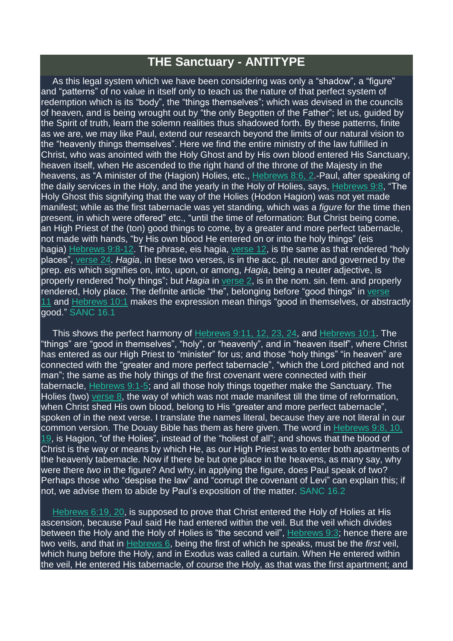## **THE Sanctuary - ANTITYPE**

As this legal system which we have been considering was only a "shadow", a "figure" and "patterns" of no value in itself only to teach us the nature of that perfect system of redemption which is its "body", the "things themselves"; which was devised in the councils of heaven, and is being wrought out by "the only Begotten of the Father"; let us, guided by the Spirit of truth, learn the solemn realities thus shadowed forth. By these patterns, finite as we are, we may like Paul, extend our research beyond the limits of our natural vision to the "heavenly things themselves". Here we find the entire ministry of the law fulfilled in Christ, who was anointed with the Holy Ghost and by His own blood entered His Sanctuary, heaven itself, when He ascended to the right hand of the throne of the Majesty in the heavens, as "A minister of the (Hagion) Holies, etc., [Hebrews](https://m.egwwritings.org/en/book/1965.61398#61398) 8:6, 2.-Paul, after speaking of the daily services in the Holy, and the yearly in the Holy of Holies, says, [Hebrews](https://m.egwwritings.org/en/book/1965.61429#61429) 9:8, "The Holy Ghost this signifying that the way of the Holies (Hodon Hagion) was not yet made manifest; while as the first tabernacle was yet standing, which was a *figure* for the time then present, in which were offered" etc., "until the time of reformation: But Christ being come, an High Priest of the (ton) good things to come, by a greater and more perfect tabernacle, not made with hands, "by His own blood He entered on or into the holy things" (eis hagia) [Hebrews](https://m.egwwritings.org/en/book/1965.61429#61429) 9:8-12. The phrase, eis hagia, [verse](https://m.egwwritings.org/en/book/1965.61437#61437) 12, is the same as that rendered "holy places", [verse](https://m.egwwritings.org/en/book/1965.61461#61461) 24. *Hagia*, in these two verses, is in the acc. pl. neuter and governed by the prep. *eis* which signifies on, into, upon, or among, *Hagia*, being a neuter adjective, is properly rendered "holy things"; but *Hagia* in [verse](https://m.egwwritings.org/en/book/1965.61417#61417) 2, is in the nom. sin. fem. and properly rendered, Holy place. The definite article "the", belonging before "good things" in [verse](https://m.egwwritings.org/en/book/1965.61435#61435) [11](https://m.egwwritings.org/en/book/1965.61435#61435) and [Hebrews](https://m.egwwritings.org/en/book/1965.61472#61472) 10:1 makes the expression mean things "good in themselves, or abstractly good." SANC 16.1

This shows the perfect harmony of [Hebrews](https://m.egwwritings.org/en/book/1965.61435#61435) 9:11, 12, 23, 24, and [Hebrews](https://m.egwwritings.org/en/book/1965.61472#61472) 10:1. The "things" are "good in themselves", "holy", or "heavenly", and in "heaven itself", where Christ has entered as our High Priest to "minister" for us; and those "holy things" "in heaven" are connected with the "greater and more perfect tabernacle", "which the Lord pitched and not man"; the same as the holy things of the first covenant were connected with their tabernacle, [Hebrews](https://m.egwwritings.org/en/book/1965.61415#61415) 9:1-5; and all those holy things together make the Sanctuary. The Holies (two) [verse](https://m.egwwritings.org/en/book/1965.61429#61429) 8, the way of which was not made manifest till the time of reformation, when Christ shed His own blood, belong to His "greater and more perfect tabernacle", spoken of in the next verse. I translate the names literal, because they are not literal in our common version. The Douay Bible has them as here given. The word in [Hebrews](https://m.egwwritings.org/en/book/1965.61429#61429) 9:8, 10, [19,](https://m.egwwritings.org/en/book/1965.61429#61429) is Hagion, "of the Holies", instead of the "holiest of all"; and shows that the blood of Christ is the way or means by which He, as our High Priest was to enter both apartments of the heavenly tabernacle. Now if there be but one place in the heavens, as many say, why were there *two* in the figure? And why, in applying the figure, does Paul speak of two? Perhaps those who "despise the law" and "corrupt the covenant of Levi" can explain this; if not, we advise them to abide by Paul's exposition of the matter. SANC 16.2

[Hebrews](https://m.egwwritings.org/en/book/1965.61326#61326) 6:19, 20, is supposed to prove that Christ entered the Holy of Holies at His ascension, because Paul said He had entered within the veil. But the veil which divides between the Holy and the Holy of Holies is "the second veil", [Hebrews](https://m.egwwritings.org/en/book/1965.61419#61419) 9:3; hence there are two veils, and that in [Hebrews](https://m.egwwritings.org/en/book/1965.61290#61290) 6, being the first of which he speaks, must be the *first* veil, which hung before the Holy, and in Exodus was called a curtain. When He entered within the veil, He entered His tabernacle, of course the Holy, as that was the first apartment; and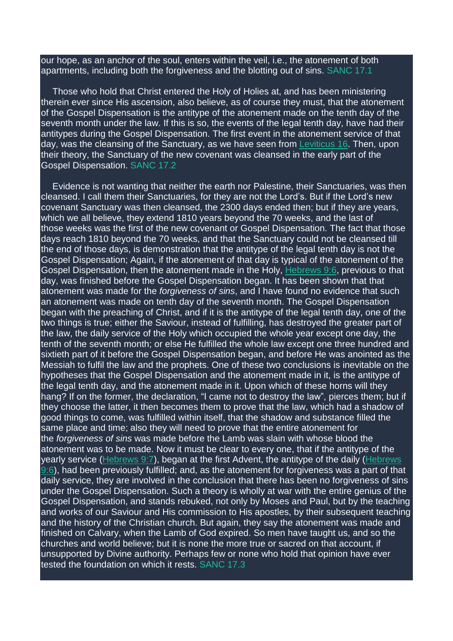our hope, as an anchor of the soul, enters within the veil, i.e., the atonement of both apartments, including both the forgiveness and the blotting out of sins. SANC 17.1

Those who hold that Christ entered the Holy of Holies at, and has been ministering therein ever since His ascension, also believe, as of course they must, that the atonement of the Gospel Dispensation is the antitype of the atonement made on the tenth day of the seventh month under the law. If this is so, the events of the legal tenth day, have had their antitypes during the Gospel Dispensation. The first event in the atonement service of that day, was the cleansing of the Sanctuary, as we have seen from [Leviticus](https://m.egwwritings.org/en/book/1965.6516#6516) 16. Then, upon their theory, the Sanctuary of the new covenant was cleansed in the early part of the Gospel Dispensation. SANC 17.2

Evidence is not wanting that neither the earth nor Palestine, their Sanctuaries, was then cleansed. I call them their Sanctuaries, for they are not the Lord's. But if the Lord's new covenant Sanctuary was then cleansed, the 2300 days ended then; but if they are years, which we all believe, they extend 1810 years beyond the 70 weeks, and the last of those weeks was the first of the new covenant or Gospel Dispensation. The fact that those days reach 1810 beyond the 70 weeks, and that the Sanctuary could not be cleansed till the end of those days, is demonstration that the antitype of the legal tenth day is not the Gospel Dispensation; Again, if the atonement of that day is typical of the atonement of the Gospel Dispensation, then the atonement made in the Holy, [Hebrews](https://m.egwwritings.org/en/book/1965.61425#61425) 9:6, previous to that day, was finished before the Gospel Dispensation began. It has been shown that that atonement was made for the *forgiveness of sins*, and I have found no evidence that such an atonement was made on tenth day of the seventh month. The Gospel Dispensation began with the preaching of Christ, and if it is the antitype of the legal tenth day, one of the two things is true; either the Saviour, instead of fulfilling, has destroyed the greater part of the law, the daily service of the Holy which occupied the whole year except one day, the tenth of the seventh month; or else He fulfilled the whole law except one three hundred and sixtieth part of it before the Gospel Dispensation began, and before He was anointed as the Messiah to fulfil the law and the prophets. One of these two conclusions is inevitable on the hypotheses that the Gospel Dispensation and the atonement made in it, is the antitype of the legal tenth day, and the atonement made in it. Upon which of these horns will they hang? If on the former, the declaration, "I came not to destroy the law", pierces them; but if they choose the latter, it then becomes them to prove that the law, which had a shadow of good things to come, was fulfilled within itself, that the shadow and substance filled the same place and time; also they will need to prove that the entire atonement for the *forgiveness of sins* was made before the Lamb was slain with whose blood the atonement was to be made. Now it must be clear to every one, that if the antitype of the yearly service [\(Hebrews](https://m.egwwritings.org/en/book/1965.61427#61427) 9:7), began at the first Advent, the antitype of the daily [\(Hebrews](https://m.egwwritings.org/en/book/1965.61425#61425) [9:6\)](https://m.egwwritings.org/en/book/1965.61425#61425), had been previously fulfilled; and, as the atonement for forgiveness was a part of that daily service, they are involved in the conclusion that there has been no forgiveness of sins under the Gospel Dispensation. Such a theory is wholly at war with the entire genius of the Gospel Dispensation, and stands rebuked, not only by Moses and Paul, but by the teaching and works of our Saviour and His commission to His apostles, by their subsequent teaching and the history of the Christian church. But again, they say the atonement was made and finished on Calvary, when the Lamb of God expired. So men have taught us, and so the churches and world believe; but it is none the more true or sacred on that account, if unsupported by Divine authority. Perhaps few or none who hold that opinion have ever tested the foundation on which it rests. SANC 17.3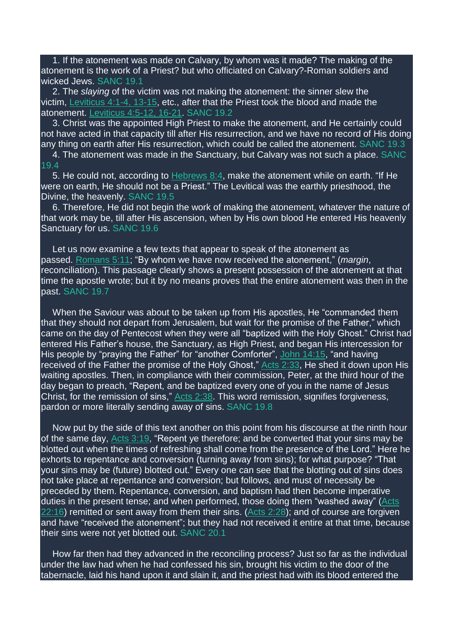1. If the atonement was made on Calvary, by whom was it made? The making of the atonement is the work of a Priest? but who officiated on Calvary?-Roman soldiers and wicked Jews. SANC 19.1

2. The *slaying* of the victim was not making the atonement: the sinner slew the victim, [Leviticus](https://m.egwwritings.org/en/book/1965.5692#5692) 4:1-4, 13-15, etc., after that the Priest took the blood and made the atonement. [Leviticus](https://m.egwwritings.org/en/book/1965.5700#5700) 4:5-12, 16-21. SANC 19.2

3. Christ was the appointed High Priest to make the atonement, and He certainly could not have acted in that capacity till after His resurrection, and we have no record of His doing any thing on earth after His resurrection, which could be called the atonement. SANC 19.3

4. The atonement was made in the Sanctuary, but Calvary was not such a place. SANC 19.4

5. He could not, according to [Hebrews](https://m.egwwritings.org/en/book/1965.61394#61394) 8:4, make the atonement while on earth. "If He were on earth, He should not be a Priest." The Levitical was the earthly priesthood, the Divine, the heavenly. SANC 19.5

6. Therefore, He did not begin the work of making the atonement, whatever the nature of that work may be, till after His ascension, when by His own blood He entered His heavenly Sanctuary for us. SANC 19.6

Let us now examine a few texts that appear to speak of the atonement as passed. [Romans](https://m.egwwritings.org/en/book/1965.57215#57215) 5:11; "By whom we have now received the atonement," (*margin*, reconciliation). This passage clearly shows a present possession of the atonement at that time the apostle wrote; but it by no means proves that the entire atonement was then in the past. SANC 19.7

When the Saviour was about to be taken up from His apostles, He "commanded them that they should not depart from Jerusalem, but wait for the promise of the Father," which came on the day of Pentecost when they were all "baptized with the Holy Ghost." Christ had entered His Father's house, the Sanctuary, as High Priest, and began His intercession for His people by "praying the Father" for "another Comforter", John [14:15,](https://m.egwwritings.org/en/book/1965.54423#54423) "and having received of the Father the promise of the Holy Ghost," Acts [2:33,](https://m.egwwritings.org/en/book/1965.55031#55031) He shed it down upon His waiting apostles. Then, in compliance with their commission, Peter, at the third hour of the day began to preach, "Repent, and be baptized every one of you in the name of Jesus Christ, for the remission of sins," Acts [2:38.](https://m.egwwritings.org/en/book/1965.55041#55041) This word remission, signifies forgiveness, pardon or more literally sending away of sins. SANC 19.8

Now put by the side of this text another on this point from his discourse at the ninth hour of the same day, Acts [3:19,](https://m.egwwritings.org/en/book/1965.55098#55098) "Repent ye therefore; and be converted that your sins may be blotted out when the times of refreshing shall come from the presence of the Lord." Here he exhorts to repentance and conversion (turning away from sins); for what purpose? "That your sins may be (future) blotted out." Every one can see that the blotting out of sins does not take place at repentance and conversion; but follows, and must of necessity be preceded by them. Repentance, conversion, and baptism had then become imperative duties in the present tense; and when performed, those doing them "washed away" [\(Acts](https://m.egwwritings.org/en/book/1965.56527#56527) [22:16\)](https://m.egwwritings.org/en/book/1965.56527#56527) remitted or sent away from them their sins. [\(Acts](https://m.egwwritings.org/en/book/1965.55021#55021) 2:28); and of course are forgiven and have "received the atonement"; but they had not received it entire at that time, because their sins were not yet blotted out. SANC 20.1

How far then had they advanced in the reconciling process? Just so far as the individual under the law had when he had confessed his sin, brought his victim to the door of the tabernacle, laid his hand upon it and slain it, and the priest had with its blood entered the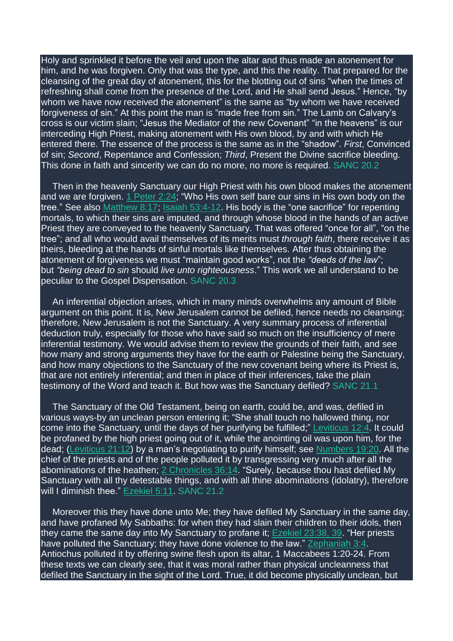Holy and sprinkled it before the veil and upon the altar and thus made an atonement for him, and he was forgiven. Only that was the type, and this the reality. That prepared for the cleansing of the great day of atonement, this for the blotting out of sins "when the times of refreshing shall come from the presence of the Lord, and He shall send Jesus." Hence, "by whom we have now received the atonement" is the same as "by whom we have received forgiveness of sin." At this point the man is "made free from sin." The Lamb on Calvary's cross is our victim slain; "Jesus the Mediator of the new Covenant" "in the heavens" is our interceding High Priest, making atonement with His own blood, by and with which He entered there. The essence of the process is the same as in the "shadow". *First*, Convinced of sin; *Second*, Repentance and Confession; *Third*, Present the Divine sacrifice bleeding. This done in faith and sincerity we can do no more, no more is required. SANC 20.2

Then in the heavenly Sanctuary our High Priest with his own blood makes the atonement and we are forgiven. 1 [Peter](https://m.egwwritings.org/en/book/1965.62062#62062) 2:24; "Who His own self bare our sins in His own body on the tree." See also [Matthew](https://m.egwwritings.org/en/book/1965.47704#47704) 8:17; Isaiah [53:4-12.](https://m.egwwritings.org/en/book/1965.38188#38188) His body is the "one sacrifice" for repenting mortals, to which their sins are imputed, and through whose blood in the hands of an active Priest they are conveyed to the heavenly Sanctuary. That was offered "once for all", "on the tree"; and all who would avail themselves of its merits must *through faith*, there receive it as theirs, bleeding at the hands of sinful mortals like themselves. After thus obtaining the atonement of forgiveness we must "maintain good works", not the *"deeds of the law*"; but *"being dead to sin* should *live unto righteousness*." This work we all understand to be peculiar to the Gospel Dispensation. SANC 20.3

An inferential objection arises, which in many minds overwhelms any amount of Bible argument on this point. It is, New Jerusalem cannot be defiled, hence needs no cleansing; therefore, New Jerusalem is not the Sanctuary. A very summary process of inferential deduction truly, especially for those who have said so much on the insufficiency of mere inferential testimony. We would advise them to review the grounds of their faith, and see how many and strong arguments they have for the earth or Palestine being the Sanctuary. and how many objections to the Sanctuary of the new covenant being where its Priest is, that are not entirely inferential; and then in place of their inferences, take the plain testimony of the Word and teach it. But how was the Sanctuary defiled? SANC 21.1

The Sanctuary of the Old Testament, being on earth, could be, and was, defiled in various ways-by an unclean person entering it; "She shall touch no hallowed thing, nor come into the Sanctuary, until the days of her purifying be fulfilled;" [Leviticus](https://m.egwwritings.org/en/book/1965.6204#6204) 12:4. It could be profaned by the high priest going out of it, while the anointing oil was upon him, for the dead; [\(Leviticus](https://m.egwwritings.org/en/book/1965.6831#6831) 21:12) by a man's negotiating to purify himself; see [Numbers](https://m.egwwritings.org/en/book/1965.8761#8761) 19:20. All the chief of the priests and of the people polluted it by transgressing very much after all the abominations of the heathen; 2 [Chronicles](https://m.egwwritings.org/en/book/1965.24434#24434) 36:14. "Surely, because thou hast defiled My Sanctuary with all thy detestable things, and with all thine abominations (idolatry), therefore will I diminish thee." [Ezekiel](https://m.egwwritings.org/en/book/1965.41950#41950) 5:11. SANC 21.2

Moreover this they have done unto Me; they have defiled My Sanctuary in the same day, and have profaned My Sabbaths: for when they had slain their children to their idols, then they came the same day into My Sanctuary to profane it; [Ezekiel](https://m.egwwritings.org/en/book/1965.42944#42944) 23:38, 39. "Her priests have polluted the Sanctuary; they have done violence to the law." [Zephaniah](https://m.egwwritings.org/en/book/1965.46596#46596) 3:4. Antiochus polluted it by offering swine flesh upon its altar, 1 Maccabees 1:20-24. From these texts we can clearly see, that it was moral rather than physical uncleanness that defiled the Sanctuary in the sight of the Lord. True, it did become physically unclean, but